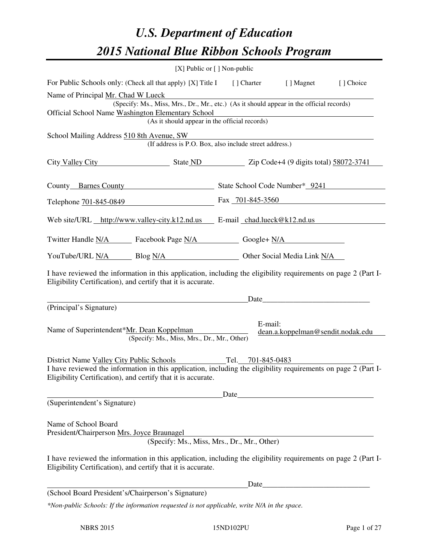# *U.S. Department of Education 2015 National Blue Ribbon Schools Program*

|                                                                                                                                                                                                                            | [X] Public or [] Non-public                                   |                   |                                                 |           |  |  |
|----------------------------------------------------------------------------------------------------------------------------------------------------------------------------------------------------------------------------|---------------------------------------------------------------|-------------------|-------------------------------------------------|-----------|--|--|
| For Public Schools only: (Check all that apply) [X] Title I                                                                                                                                                                |                                                               | [ ] Charter       | [ ] Magnet                                      | [] Choice |  |  |
| Name of Principal Mr. Chad W Lueck<br>(Specify: Ms., Miss, Mrs., Dr., Mr., etc.) (As it should appear in the official records)                                                                                             |                                                               |                   |                                                 |           |  |  |
| Official School Name Washington Elementary School<br>(As it should appear in the official records)                                                                                                                         |                                                               |                   |                                                 |           |  |  |
|                                                                                                                                                                                                                            |                                                               |                   |                                                 |           |  |  |
| School Mailing Address 510 8th Avenue, SW<br>(If address is P.O. Box, also include street address.)                                                                                                                        |                                                               |                   |                                                 |           |  |  |
| City Valley City                                                                                                                                                                                                           |                                                               |                   | State ND Zip Code+4 (9 digits total) 58072-3741 |           |  |  |
| County Barnes County State School Code Number* 9241                                                                                                                                                                        |                                                               |                   |                                                 |           |  |  |
| Telephone 701-845-0849                                                                                                                                                                                                     |                                                               | Fax 701-845-3560  |                                                 |           |  |  |
| Web site/URL http://www.valley-city.k12.nd.us E-mail chad.lueck@k12.nd.us                                                                                                                                                  |                                                               |                   |                                                 |           |  |  |
| Twitter Handle <u>N/A</u> Facebook Page N/A Google+ N/A                                                                                                                                                                    |                                                               |                   |                                                 |           |  |  |
|                                                                                                                                                                                                                            | YouTube/URL N/A Blog N/A Durantee Other Social Media Link N/A |                   |                                                 |           |  |  |
| I have reviewed the information in this application, including the eligibility requirements on page 2 (Part I-<br>Eligibility Certification), and certify that it is accurate.                                             |                                                               |                   |                                                 |           |  |  |
|                                                                                                                                                                                                                            |                                                               | Date              |                                                 |           |  |  |
| (Principal's Signature)                                                                                                                                                                                                    |                                                               |                   |                                                 |           |  |  |
| Name of Superintendent*Mr. Dean Koppelman<br>(Specify: Ms., Miss, Mrs., Dr., Mr., Other)                                                                                                                                   |                                                               | E-mail:           | dean.a.koppelman@sendit.nodak.edu               |           |  |  |
| District Name Valley City Public Schools<br>I have reviewed the information in this application, including the eligibility requirements on page 2 (Part I-<br>Eligibility Certification), and certify that it is accurate. |                                                               | Tel. 701-845-0483 |                                                 |           |  |  |
| Date                                                                                                                                                                                                                       |                                                               |                   |                                                 |           |  |  |
| (Superintendent's Signature)                                                                                                                                                                                               |                                                               |                   |                                                 |           |  |  |
| Name of School Board<br>President/Chairperson Mrs. Joyce Braunagel<br>(Specify: Ms., Miss, Mrs., Dr., Mr., Other)                                                                                                          |                                                               |                   |                                                 |           |  |  |
| I have reviewed the information in this application, including the eligibility requirements on page 2 (Part I-<br>Eligibility Certification), and certify that it is accurate.                                             |                                                               |                   |                                                 |           |  |  |
|                                                                                                                                                                                                                            |                                                               | Date              |                                                 |           |  |  |
| (School Board President's/Chairperson's Signature)                                                                                                                                                                         |                                                               |                   |                                                 |           |  |  |
| *Non-public Schools: If the information requested is not applicable, write N/A in the space.                                                                                                                               |                                                               |                   |                                                 |           |  |  |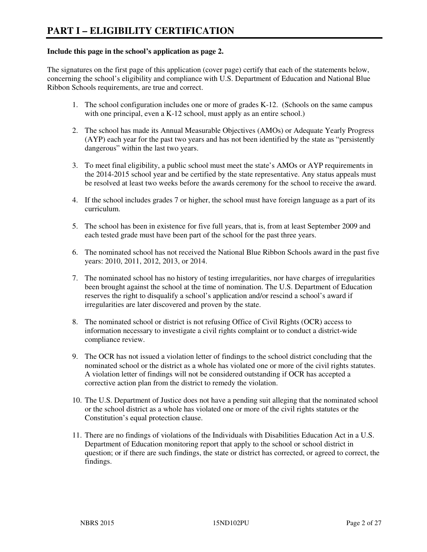#### **Include this page in the school's application as page 2.**

The signatures on the first page of this application (cover page) certify that each of the statements below, concerning the school's eligibility and compliance with U.S. Department of Education and National Blue Ribbon Schools requirements, are true and correct.

- 1. The school configuration includes one or more of grades K-12. (Schools on the same campus with one principal, even a K-12 school, must apply as an entire school.)
- 2. The school has made its Annual Measurable Objectives (AMOs) or Adequate Yearly Progress (AYP) each year for the past two years and has not been identified by the state as "persistently dangerous" within the last two years.
- 3. To meet final eligibility, a public school must meet the state's AMOs or AYP requirements in the 2014-2015 school year and be certified by the state representative. Any status appeals must be resolved at least two weeks before the awards ceremony for the school to receive the award.
- 4. If the school includes grades 7 or higher, the school must have foreign language as a part of its curriculum.
- 5. The school has been in existence for five full years, that is, from at least September 2009 and each tested grade must have been part of the school for the past three years.
- 6. The nominated school has not received the National Blue Ribbon Schools award in the past five years: 2010, 2011, 2012, 2013, or 2014.
- 7. The nominated school has no history of testing irregularities, nor have charges of irregularities been brought against the school at the time of nomination. The U.S. Department of Education reserves the right to disqualify a school's application and/or rescind a school's award if irregularities are later discovered and proven by the state.
- 8. The nominated school or district is not refusing Office of Civil Rights (OCR) access to information necessary to investigate a civil rights complaint or to conduct a district-wide compliance review.
- 9. The OCR has not issued a violation letter of findings to the school district concluding that the nominated school or the district as a whole has violated one or more of the civil rights statutes. A violation letter of findings will not be considered outstanding if OCR has accepted a corrective action plan from the district to remedy the violation.
- 10. The U.S. Department of Justice does not have a pending suit alleging that the nominated school or the school district as a whole has violated one or more of the civil rights statutes or the Constitution's equal protection clause.
- 11. There are no findings of violations of the Individuals with Disabilities Education Act in a U.S. Department of Education monitoring report that apply to the school or school district in question; or if there are such findings, the state or district has corrected, or agreed to correct, the findings.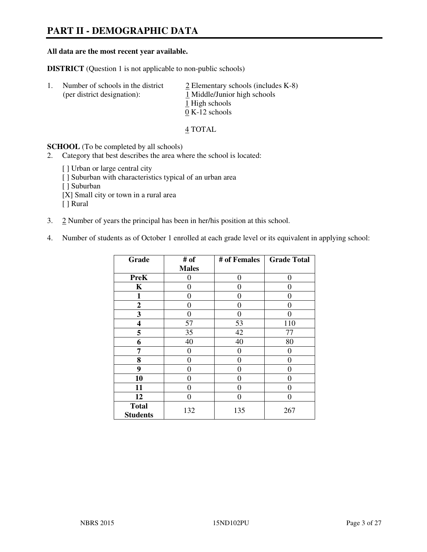# **PART II - DEMOGRAPHIC DATA**

#### **All data are the most recent year available.**

**DISTRICT** (Question 1 is not applicable to non-public schools)

| -1. | Number of schools in the district<br>(per district designation): | $\geq$ Elementary schools (includes K-8)<br>1 Middle/Junior high schools<br>1 High schools<br>$0 K-12$ schools |
|-----|------------------------------------------------------------------|----------------------------------------------------------------------------------------------------------------|
|     |                                                                  |                                                                                                                |

4 TOTAL

**SCHOOL** (To be completed by all schools)

2. Category that best describes the area where the school is located:

[ ] Urban or large central city [ ] Suburban with characteristics typical of an urban area [ ] Suburban [X] Small city or town in a rural area [ ] Rural

- 3. 2 Number of years the principal has been in her/his position at this school.
- 4. Number of students as of October 1 enrolled at each grade level or its equivalent in applying school:

| Grade                           | # of         | # of Females | <b>Grade Total</b> |
|---------------------------------|--------------|--------------|--------------------|
|                                 | <b>Males</b> |              |                    |
| <b>PreK</b>                     | 0            | $\theta$     | $\theta$           |
| K                               | 0            | 0            | $\theta$           |
| 1                               | 0            | 0            | $\theta$           |
| $\boldsymbol{2}$                | 0            | 0            | 0                  |
| 3                               | 0            | 0            | $\Omega$           |
| 4                               | 57           | 53           | 110                |
| 5                               | 35           | 42           | 77                 |
| 6                               | 40           | 40           | 80                 |
| 7                               | 0            | 0            | 0                  |
| 8                               | 0            | 0            | 0                  |
| 9                               | 0            | 0            | 0                  |
| 10                              | 0            | 0            | 0                  |
| 11                              | 0            | 0            | $\theta$           |
| 12                              | 0            | 0            | 0                  |
| <b>Total</b><br><b>Students</b> | 132          | 135          | 267                |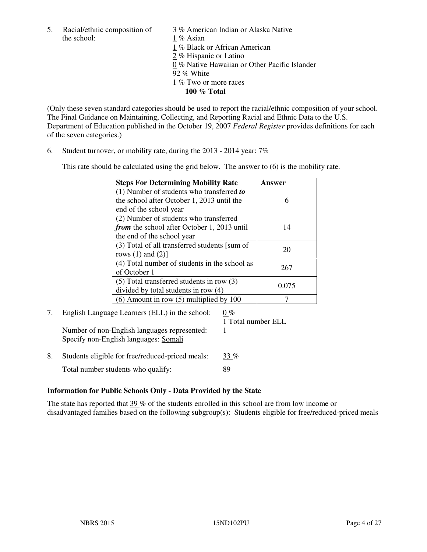5. Racial/ethnic composition of  $\frac{3}{3}$ % American Indian or Alaska Native the school: 1 % Asian

 1 % Black or African American 2 % Hispanic or Latino 0 % Native Hawaiian or Other Pacific Islander 92 % White 1 % Two or more races **100 % Total** 

(Only these seven standard categories should be used to report the racial/ethnic composition of your school. The Final Guidance on Maintaining, Collecting, and Reporting Racial and Ethnic Data to the U.S. Department of Education published in the October 19, 2007 *Federal Register* provides definitions for each of the seven categories.)

6. Student turnover, or mobility rate, during the 2013 - 2014 year: 7%

This rate should be calculated using the grid below. The answer to (6) is the mobility rate.

| <b>Steps For Determining Mobility Rate</b>    | Answer |
|-----------------------------------------------|--------|
| $(1)$ Number of students who transferred to   |        |
| the school after October 1, 2013 until the    | 6      |
| end of the school year                        |        |
| (2) Number of students who transferred        |        |
| from the school after October 1, 2013 until   | 14     |
| the end of the school year                    |        |
| (3) Total of all transferred students [sum of | 20     |
| rows $(1)$ and $(2)$ ]                        |        |
| (4) Total number of students in the school as | 267    |
| of October 1                                  |        |
| $(5)$ Total transferred students in row $(3)$ |        |
| divided by total students in row (4)          | 0.075  |
| $(6)$ Amount in row $(5)$ multiplied by 100   |        |

# 7. English Language Learners (ELL) in the school:  $0\%$

 1 Total number ELL Number of non-English languages represented: 1 Specify non-English languages: Somali

8. Students eligible for free/reduced-priced meals:  $33\%$ Total number students who qualify: 89

#### **Information for Public Schools Only - Data Provided by the State**

The state has reported that  $39\%$  of the students enrolled in this school are from low income or disadvantaged families based on the following subgroup(s): Students eligible for free/reduced-priced meals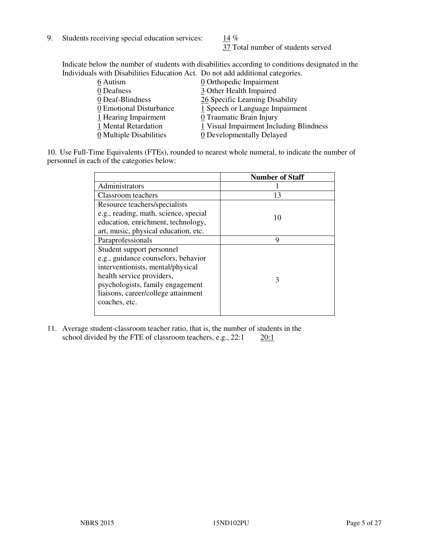9. Students receiving special education services:  $\frac{14}{9}$  %

37 Total number of students served

Indicate below the number of students with disabilities according to conditions designated in the Individuals with Disabilities Education Act. Do not add additional categories.

| 6 Autism                | 0 Orthopedic Impairment                 |
|-------------------------|-----------------------------------------|
| 0 Deafness              | 3 Other Health Impaired                 |
| 0 Deaf-Blindness        | 26 Specific Learning Disability         |
| 0 Emotional Disturbance | 1 Speech or Language Impairment         |
| 1 Hearing Impairment    | 0 Traumatic Brain Injury                |
| 1 Mental Retardation    | 1 Visual Impairment Including Blindness |
| 0 Multiple Disabilities | 0 Developmentally Delayed               |
|                         |                                         |

10. Use Full-Time Equivalents (FTEs), rounded to nearest whole numeral, to indicate the number of personnel in each of the categories below:

|                                       | <b>Number of Staff</b> |
|---------------------------------------|------------------------|
| Administrators                        |                        |
| Classroom teachers                    | 13                     |
| Resource teachers/specialists         |                        |
| e.g., reading, math, science, special | 10                     |
| education, enrichment, technology,    |                        |
| art, music, physical education, etc.  |                        |
| Paraprofessionals                     | 9                      |
| Student support personnel             |                        |
| e.g., guidance counselors, behavior   |                        |
| interventionists, mental/physical     |                        |
| health service providers,             | 3                      |
| psychologists, family engagement      |                        |
| liaisons, career/college attainment   |                        |
| coaches, etc.                         |                        |
|                                       |                        |

11. Average student-classroom teacher ratio, that is, the number of students in the school divided by the FTE of classroom teachers, e.g.,  $22:1$   $20:1$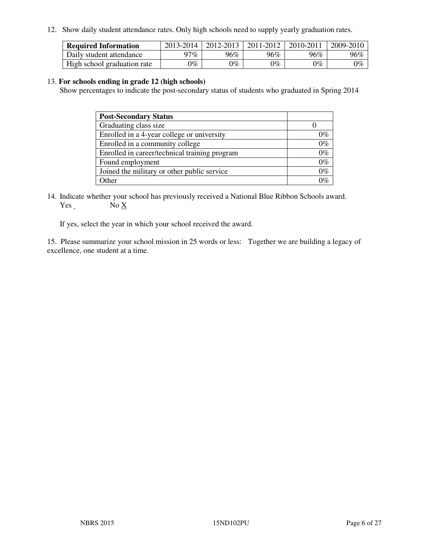12. Show daily student attendance rates. Only high schools need to supply yearly graduation rates.

| <b>Required Information</b> | 2013-2014     | 2012-2013       | 2011-2012 | 2010-2011 | 2009-2010 |
|-----------------------------|---------------|-----------------|-----------|-----------|-----------|
| Daily student attendance    | 97%           | $96\%$          | 96%       | 96%       | 96%       |
| High school graduation rate | $\gamma_{\%}$ | $\mathcal{V}_o$ | $0\%$     | 0%        | 0%        |

#### 13. **For schools ending in grade 12 (high schools)**

Show percentages to indicate the post-secondary status of students who graduated in Spring 2014

| <b>Post-Secondary Status</b>                  |       |
|-----------------------------------------------|-------|
| Graduating class size                         |       |
| Enrolled in a 4-year college or university    | በ‰    |
| Enrolled in a community college               | $0\%$ |
| Enrolled in career/technical training program | $0\%$ |
| Found employment                              | $0\%$ |
| Joined the military or other public service   | 0%    |
| Other                                         |       |

14. Indicate whether your school has previously received a National Blue Ribbon Schools award. Yes No X

If yes, select the year in which your school received the award.

15. Please summarize your school mission in 25 words or less: Together we are building a legacy of excellence, one student at a time.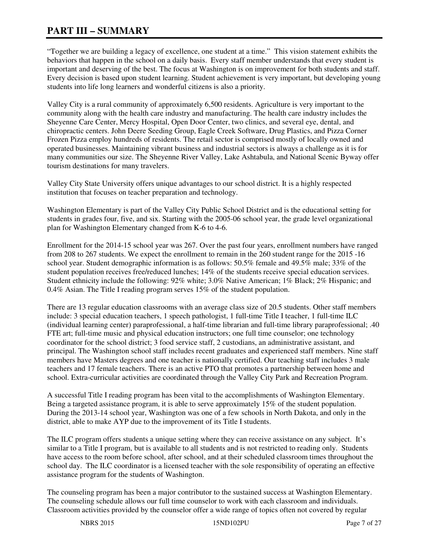"Together we are building a legacy of excellence, one student at a time." This vision statement exhibits the behaviors that happen in the school on a daily basis. Every staff member understands that every student is important and deserving of the best. The focus at Washington is on improvement for both students and staff. Every decision is based upon student learning. Student achievement is very important, but developing young students into life long learners and wonderful citizens is also a priority.

Valley City is a rural community of approximately 6,500 residents. Agriculture is very important to the community along with the health care industry and manufacturing. The health care industry includes the Sheyenne Care Center, Mercy Hospital, Open Door Center, two clinics, and several eye, dental, and chiropractic centers. John Deere Seeding Group, Eagle Creek Software, Drug Plastics, and Pizza Corner Frozen Pizza employ hundreds of residents. The retail sector is comprised mostly of locally owned and operated businesses. Maintaining vibrant business and industrial sectors is always a challenge as it is for many communities our size. The Sheyenne River Valley, Lake Ashtabula, and National Scenic Byway offer tourism destinations for many travelers.

Valley City State University offers unique advantages to our school district. It is a highly respected institution that focuses on teacher preparation and technology.

Washington Elementary is part of the Valley City Public School District and is the educational setting for students in grades four, five, and six. Starting with the 2005-06 school year, the grade level organizational plan for Washington Elementary changed from K-6 to 4-6.

Enrollment for the 2014-15 school year was 267. Over the past four years, enrollment numbers have ranged from 208 to 267 students. We expect the enrollment to remain in the 260 student range for the 2015 -16 school year. Student demographic information is as follows: 50.5% female and 49.5% male; 33% of the student population receives free/reduced lunches; 14% of the students receive special education services. Student ethnicity include the following: 92% white; 3.0% Native American; 1% Black; 2% Hispanic; and 0.4% Asian. The Title I reading program serves 15% of the student population.

There are 13 regular education classrooms with an average class size of 20.5 students. Other staff members include: 3 special education teachers, 1 speech pathologist, 1 full-time Title I teacher, 1 full-time ILC (individual learning center) paraprofessional, a half-time librarian and full-time library paraprofessional; .40 FTE art; full-time music and physical education instructors; one full time counselor; one technology coordinator for the school district; 3 food service staff, 2 custodians, an administrative assistant, and principal. The Washington school staff includes recent graduates and experienced staff members. Nine staff members have Masters degrees and one teacher is nationally certified. Our teaching staff includes 3 male teachers and 17 female teachers. There is an active PTO that promotes a partnership between home and school. Extra-curricular activities are coordinated through the Valley City Park and Recreation Program.

A successful Title I reading program has been vital to the accomplishments of Washington Elementary. Being a targeted assistance program, it is able to serve approximately 15% of the student population. During the 2013-14 school year, Washington was one of a few schools in North Dakota, and only in the district, able to make AYP due to the improvement of its Title I students.

The ILC program offers students a unique setting where they can receive assistance on any subject. It's similar to a Title I program, but is available to all students and is not restricted to reading only. Students have access to the room before school, after school, and at their scheduled classroom times throughout the school day. The ILC coordinator is a licensed teacher with the sole responsibility of operating an effective assistance program for the students of Washington.

The counseling program has been a major contributor to the sustained success at Washington Elementary. The counseling schedule allows our full time counselor to work with each classroom and individuals. Classroom activities provided by the counselor offer a wide range of topics often not covered by regular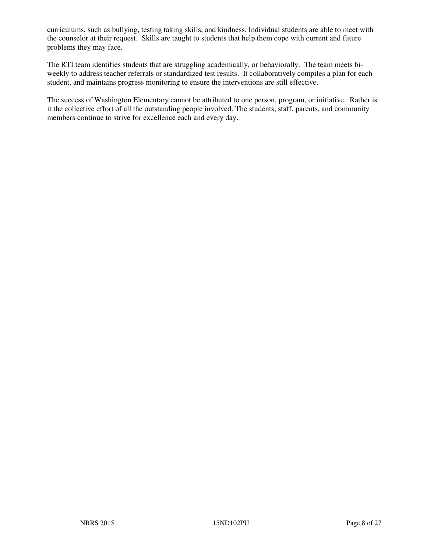curriculums, such as bullying, testing taking skills, and kindness. Individual students are able to meet with the counselor at their request. Skills are taught to students that help them cope with current and future problems they may face.

The RTI team identifies students that are struggling academically, or behaviorally. The team meets biweekly to address teacher referrals or standardized test results. It collaboratively compiles a plan for each student, and maintains progress monitoring to ensure the interventions are still effective.

The success of Washington Elementary cannot be attributed to one person, program, or initiative. Rather is it the collective effort of all the outstanding people involved. The students, staff, parents, and community members continue to strive for excellence each and every day.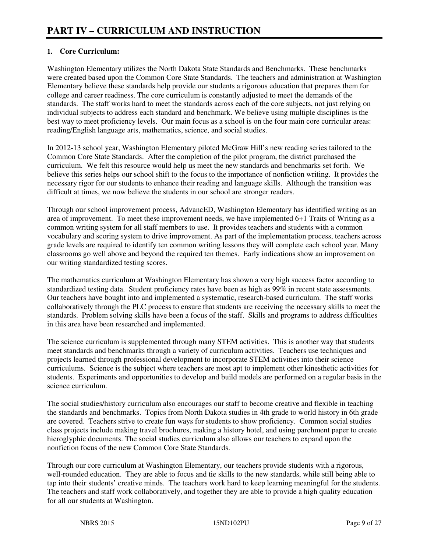## **1. Core Curriculum:**

Washington Elementary utilizes the North Dakota State Standards and Benchmarks. These benchmarks were created based upon the Common Core State Standards. The teachers and administration at Washington Elementary believe these standards help provide our students a rigorous education that prepares them for college and career readiness. The core curriculum is constantly adjusted to meet the demands of the standards. The staff works hard to meet the standards across each of the core subjects, not just relying on individual subjects to address each standard and benchmark. We believe using multiple disciplines is the best way to meet proficiency levels. Our main focus as a school is on the four main core curricular areas: reading/English language arts, mathematics, science, and social studies.

In 2012-13 school year, Washington Elementary piloted McGraw Hill's new reading series tailored to the Common Core State Standards. After the completion of the pilot program, the district purchased the curriculum. We felt this resource would help us meet the new standards and benchmarks set forth. We believe this series helps our school shift to the focus to the importance of nonfiction writing. It provides the necessary rigor for our students to enhance their reading and language skills. Although the transition was difficult at times, we now believe the students in our school are stronger readers.

Through our school improvement process, AdvancED, Washington Elementary has identified writing as an area of improvement. To meet these improvement needs, we have implemented 6+1 Traits of Writing as a common writing system for all staff members to use. It provides teachers and students with a common vocabulary and scoring system to drive improvement. As part of the implementation process, teachers across grade levels are required to identify ten common writing lessons they will complete each school year. Many classrooms go well above and beyond the required ten themes. Early indications show an improvement on our writing standardized testing scores.

The mathematics curriculum at Washington Elementary has shown a very high success factor according to standardized testing data. Student proficiency rates have been as high as 99% in recent state assessments. Our teachers have bought into and implemented a systematic, research-based curriculum. The staff works collaboratively through the PLC process to ensure that students are receiving the necessary skills to meet the standards. Problem solving skills have been a focus of the staff. Skills and programs to address difficulties in this area have been researched and implemented.

The science curriculum is supplemented through many STEM activities. This is another way that students meet standards and benchmarks through a variety of curriculum activities. Teachers use techniques and projects learned through professional development to incorporate STEM activities into their science curriculums. Science is the subject where teachers are most apt to implement other kinesthetic activities for students. Experiments and opportunities to develop and build models are performed on a regular basis in the science curriculum.

The social studies/history curriculum also encourages our staff to become creative and flexible in teaching the standards and benchmarks. Topics from North Dakota studies in 4th grade to world history in 6th grade are covered. Teachers strive to create fun ways for students to show proficiency. Common social studies class projects include making travel brochures, making a history hotel, and using parchment paper to create hieroglyphic documents. The social studies curriculum also allows our teachers to expand upon the nonfiction focus of the new Common Core State Standards.

Through our core curriculum at Washington Elementary, our teachers provide students with a rigorous, well-rounded education. They are able to focus and tie skills to the new standards, while still being able to tap into their students' creative minds. The teachers work hard to keep learning meaningful for the students. The teachers and staff work collaboratively, and together they are able to provide a high quality education for all our students at Washington.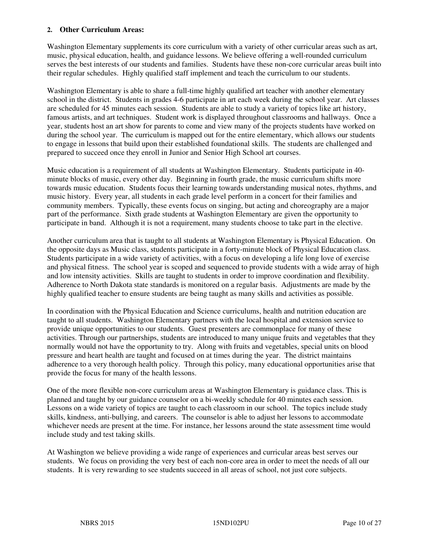#### **2. Other Curriculum Areas:**

Washington Elementary supplements its core curriculum with a variety of other curricular areas such as art, music, physical education, health, and guidance lessons. We believe offering a well-rounded curriculum serves the best interests of our students and families. Students have these non-core curricular areas built into their regular schedules. Highly qualified staff implement and teach the curriculum to our students.

Washington Elementary is able to share a full-time highly qualified art teacher with another elementary school in the district. Students in grades 4-6 participate in art each week during the school year. Art classes are scheduled for 45 minutes each session. Students are able to study a variety of topics like art history, famous artists, and art techniques. Student work is displayed throughout classrooms and hallways. Once a year, students host an art show for parents to come and view many of the projects students have worked on during the school year. The curriculum is mapped out for the entire elementary, which allows our students to engage in lessons that build upon their established foundational skills. The students are challenged and prepared to succeed once they enroll in Junior and Senior High School art courses.

Music education is a requirement of all students at Washington Elementary. Students participate in 40 minute blocks of music, every other day. Beginning in fourth grade, the music curriculum shifts more towards music education. Students focus their learning towards understanding musical notes, rhythms, and music history. Every year, all students in each grade level perform in a concert for their families and community members. Typically, these events focus on singing, but acting and choreography are a major part of the performance. Sixth grade students at Washington Elementary are given the opportunity to participate in band. Although it is not a requirement, many students choose to take part in the elective.

Another curriculum area that is taught to all students at Washington Elementary is Physical Education. On the opposite days as Music class, students participate in a forty-minute block of Physical Education class. Students participate in a wide variety of activities, with a focus on developing a life long love of exercise and physical fitness. The school year is scoped and sequenced to provide students with a wide array of high and low intensity activities. Skills are taught to students in order to improve coordination and flexibility. Adherence to North Dakota state standards is monitored on a regular basis. Adjustments are made by the highly qualified teacher to ensure students are being taught as many skills and activities as possible.

In coordination with the Physical Education and Science curriculums, health and nutrition education are taught to all students. Washington Elementary partners with the local hospital and extension service to provide unique opportunities to our students. Guest presenters are commonplace for many of these activities. Through our partnerships, students are introduced to many unique fruits and vegetables that they normally would not have the opportunity to try. Along with fruits and vegetables, special units on blood pressure and heart health are taught and focused on at times during the year. The district maintains adherence to a very thorough health policy. Through this policy, many educational opportunities arise that provide the focus for many of the health lessons.

One of the more flexible non-core curriculum areas at Washington Elementary is guidance class. This is planned and taught by our guidance counselor on a bi-weekly schedule for 40 minutes each session. Lessons on a wide variety of topics are taught to each classroom in our school. The topics include study skills, kindness, anti-bullying, and careers. The counselor is able to adjust her lessons to accommodate whichever needs are present at the time. For instance, her lessons around the state assessment time would include study and test taking skills.

At Washington we believe providing a wide range of experiences and curricular areas best serves our students. We focus on providing the very best of each non-core area in order to meet the needs of all our students. It is very rewarding to see students succeed in all areas of school, not just core subjects.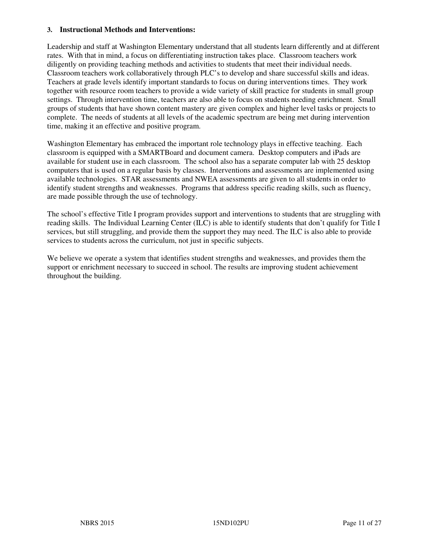#### **3. Instructional Methods and Interventions:**

Leadership and staff at Washington Elementary understand that all students learn differently and at different rates. With that in mind, a focus on differentiating instruction takes place. Classroom teachers work diligently on providing teaching methods and activities to students that meet their individual needs. Classroom teachers work collaboratively through PLC's to develop and share successful skills and ideas. Teachers at grade levels identify important standards to focus on during interventions times. They work together with resource room teachers to provide a wide variety of skill practice for students in small group settings. Through intervention time, teachers are also able to focus on students needing enrichment. Small groups of students that have shown content mastery are given complex and higher level tasks or projects to complete. The needs of students at all levels of the academic spectrum are being met during intervention time, making it an effective and positive program.

Washington Elementary has embraced the important role technology plays in effective teaching. Each classroom is equipped with a SMARTBoard and document camera. Desktop computers and iPads are available for student use in each classroom. The school also has a separate computer lab with 25 desktop computers that is used on a regular basis by classes. Interventions and assessments are implemented using available technologies. STAR assessments and NWEA assessments are given to all students in order to identify student strengths and weaknesses. Programs that address specific reading skills, such as fluency, are made possible through the use of technology.

The school's effective Title I program provides support and interventions to students that are struggling with reading skills. The Individual Learning Center (ILC) is able to identify students that don't qualify for Title I services, but still struggling, and provide them the support they may need. The ILC is also able to provide services to students across the curriculum, not just in specific subjects.

We believe we operate a system that identifies student strengths and weaknesses, and provides them the support or enrichment necessary to succeed in school. The results are improving student achievement throughout the building.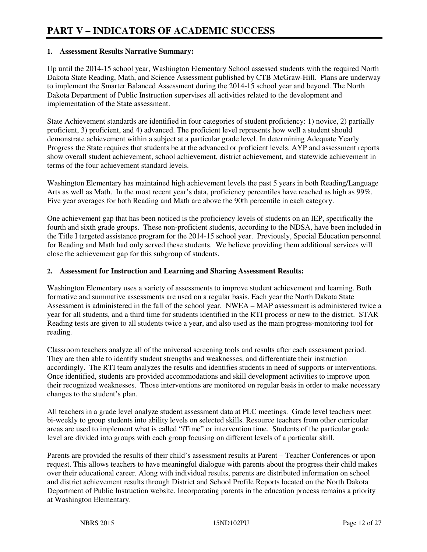### **1. Assessment Results Narrative Summary:**

Up until the 2014-15 school year, Washington Elementary School assessed students with the required North Dakota State Reading, Math, and Science Assessment published by CTB McGraw-Hill. Plans are underway to implement the Smarter Balanced Assessment during the 2014-15 school year and beyond. The North Dakota Department of Public Instruction supervises all activities related to the development and implementation of the State assessment.

State Achievement standards are identified in four categories of student proficiency: 1) novice, 2) partially proficient, 3) proficient, and 4) advanced. The proficient level represents how well a student should demonstrate achievement within a subject at a particular grade level. In determining Adequate Yearly Progress the State requires that students be at the advanced or proficient levels. AYP and assessment reports show overall student achievement, school achievement, district achievement, and statewide achievement in terms of the four achievement standard levels.

Washington Elementary has maintained high achievement levels the past 5 years in both Reading/Language Arts as well as Math. In the most recent year's data, proficiency percentiles have reached as high as 99%. Five year averages for both Reading and Math are above the 90th percentile in each category.

One achievement gap that has been noticed is the proficiency levels of students on an IEP, specifically the fourth and sixth grade groups. These non-proficient students, according to the NDSA, have been included in the Title I targeted assistance program for the 2014-15 school year. Previously, Special Education personnel for Reading and Math had only served these students. We believe providing them additional services will close the achievement gap for this subgroup of students.

### **2. Assessment for Instruction and Learning and Sharing Assessment Results:**

Washington Elementary uses a variety of assessments to improve student achievement and learning. Both formative and summative assessments are used on a regular basis. Each year the North Dakota State Assessment is administered in the fall of the school year. NWEA – MAP assessment is administered twice a year for all students, and a third time for students identified in the RTI process or new to the district. STAR Reading tests are given to all students twice a year, and also used as the main progress-monitoring tool for reading.

Classroom teachers analyze all of the universal screening tools and results after each assessment period. They are then able to identify student strengths and weaknesses, and differentiate their instruction accordingly. The RTI team analyzes the results and identifies students in need of supports or interventions. Once identified, students are provided accommodations and skill development activities to improve upon their recognized weaknesses. Those interventions are monitored on regular basis in order to make necessary changes to the student's plan.

All teachers in a grade level analyze student assessment data at PLC meetings. Grade level teachers meet bi-weekly to group students into ability levels on selected skills. Resource teachers from other curricular areas are used to implement what is called "iTime" or intervention time. Students of the particular grade level are divided into groups with each group focusing on different levels of a particular skill.

Parents are provided the results of their child's assessment results at Parent – Teacher Conferences or upon request. This allows teachers to have meaningful dialogue with parents about the progress their child makes over their educational career. Along with individual results, parents are distributed information on school and district achievement results through District and School Profile Reports located on the North Dakota Department of Public Instruction website. Incorporating parents in the education process remains a priority at Washington Elementary.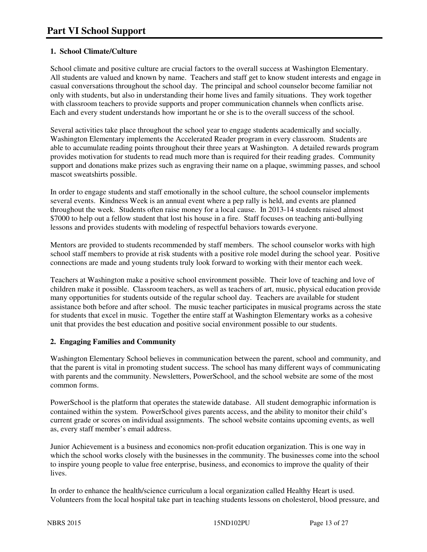# **1. School Climate/Culture**

School climate and positive culture are crucial factors to the overall success at Washington Elementary. All students are valued and known by name. Teachers and staff get to know student interests and engage in casual conversations throughout the school day. The principal and school counselor become familiar not only with students, but also in understanding their home lives and family situations. They work together with classroom teachers to provide supports and proper communication channels when conflicts arise. Each and every student understands how important he or she is to the overall success of the school.

Several activities take place throughout the school year to engage students academically and socially. Washington Elementary implements the Accelerated Reader program in every classroom. Students are able to accumulate reading points throughout their three years at Washington. A detailed rewards program provides motivation for students to read much more than is required for their reading grades. Community support and donations make prizes such as engraving their name on a plaque, swimming passes, and school mascot sweatshirts possible.

In order to engage students and staff emotionally in the school culture, the school counselor implements several events. Kindness Week is an annual event where a pep rally is held, and events are planned throughout the week. Students often raise money for a local cause. In 2013-14 students raised almost \$7000 to help out a fellow student that lost his house in a fire. Staff focuses on teaching anti-bullying lessons and provides students with modeling of respectful behaviors towards everyone.

Mentors are provided to students recommended by staff members. The school counselor works with high school staff members to provide at risk students with a positive role model during the school year. Positive connections are made and young students truly look forward to working with their mentor each week.

Teachers at Washington make a positive school environment possible. Their love of teaching and love of children make it possible. Classroom teachers, as well as teachers of art, music, physical education provide many opportunities for students outside of the regular school day. Teachers are available for student assistance both before and after school. The music teacher participates in musical programs across the state for students that excel in music. Together the entire staff at Washington Elementary works as a cohesive unit that provides the best education and positive social environment possible to our students.

## **2. Engaging Families and Community**

Washington Elementary School believes in communication between the parent, school and community, and that the parent is vital in promoting student success. The school has many different ways of communicating with parents and the community. Newsletters, PowerSchool, and the school website are some of the most common forms.

PowerSchool is the platform that operates the statewide database. All student demographic information is contained within the system. PowerSchool gives parents access, and the ability to monitor their child's current grade or scores on individual assignments. The school website contains upcoming events, as well as, every staff member's email address.

Junior Achievement is a business and economics non-profit education organization. This is one way in which the school works closely with the businesses in the community. The businesses come into the school to inspire young people to value free enterprise, business, and economics to improve the quality of their lives.

In order to enhance the health/science curriculum a local organization called Healthy Heart is used. Volunteers from the local hospital take part in teaching students lessons on cholesterol, blood pressure, and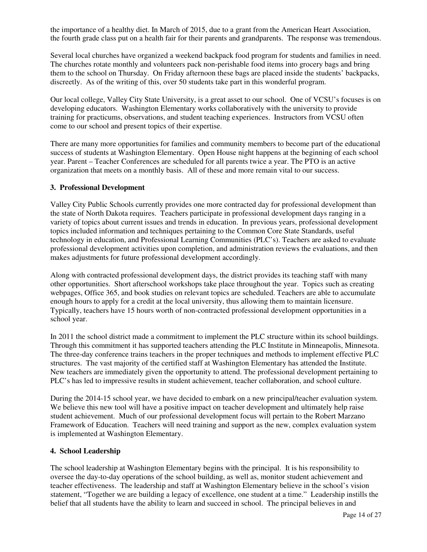the importance of a healthy diet. In March of 2015, due to a grant from the American Heart Association, the fourth grade class put on a health fair for their parents and grandparents. The response was tremendous.

Several local churches have organized a weekend backpack food program for students and families in need. The churches rotate monthly and volunteers pack non-perishable food items into grocery bags and bring them to the school on Thursday. On Friday afternoon these bags are placed inside the students' backpacks, discreetly. As of the writing of this, over 50 students take part in this wonderful program.

Our local college, Valley City State University, is a great asset to our school. One of VCSU's focuses is on developing educators. Washington Elementary works collaboratively with the university to provide training for practicums, observations, and student teaching experiences. Instructors from VCSU often come to our school and present topics of their expertise.

There are many more opportunities for families and community members to become part of the educational success of students at Washington Elementary. Open House night happens at the beginning of each school year. Parent – Teacher Conferences are scheduled for all parents twice a year. The PTO is an active organization that meets on a monthly basis. All of these and more remain vital to our success.

#### **3. Professional Development**

Valley City Public Schools currently provides one more contracted day for professional development than the state of North Dakota requires. Teachers participate in professional development days ranging in a variety of topics about current issues and trends in education. In previous years, professional development topics included information and techniques pertaining to the Common Core State Standards, useful technology in education, and Professional Learning Communities (PLC's). Teachers are asked to evaluate professional development activities upon completion, and administration reviews the evaluations, and then makes adjustments for future professional development accordingly.

Along with contracted professional development days, the district provides its teaching staff with many other opportunities. Short afterschool workshops take place throughout the year. Topics such as creating webpages, Office 365, and book studies on relevant topics are scheduled. Teachers are able to accumulate enough hours to apply for a credit at the local university, thus allowing them to maintain licensure. Typically, teachers have 15 hours worth of non-contracted professional development opportunities in a school year.

In 2011 the school district made a commitment to implement the PLC structure within its school buildings. Through this commitment it has supported teachers attending the PLC Institute in Minneapolis, Minnesota. The three-day conference trains teachers in the proper techniques and methods to implement effective PLC structures. The vast majority of the certified staff at Washington Elementary has attended the Institute. New teachers are immediately given the opportunity to attend. The professional development pertaining to PLC's has led to impressive results in student achievement, teacher collaboration, and school culture.

During the 2014-15 school year, we have decided to embark on a new principal/teacher evaluation system. We believe this new tool will have a positive impact on teacher development and ultimately help raise student achievement. Much of our professional development focus will pertain to the Robert Marzano Framework of Education. Teachers will need training and support as the new, complex evaluation system is implemented at Washington Elementary.

#### **4. School Leadership**

The school leadership at Washington Elementary begins with the principal. It is his responsibility to oversee the day-to-day operations of the school building, as well as, monitor student achievement and teacher effectiveness. The leadership and staff at Washington Elementary believe in the school's vision statement, "Together we are building a legacy of excellence, one student at a time." Leadership instills the belief that all students have the ability to learn and succeed in school. The principal believes in and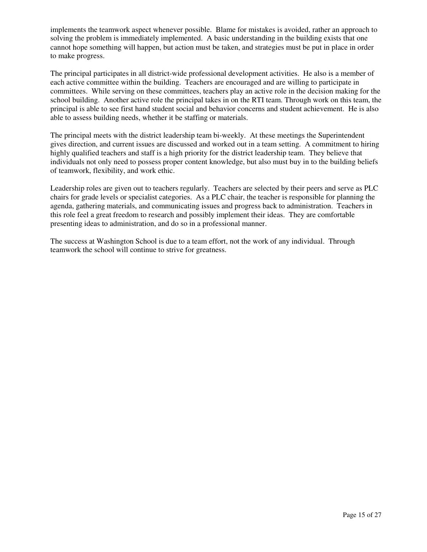implements the teamwork aspect whenever possible. Blame for mistakes is avoided, rather an approach to solving the problem is immediately implemented. A basic understanding in the building exists that one cannot hope something will happen, but action must be taken, and strategies must be put in place in order to make progress.

The principal participates in all district-wide professional development activities. He also is a member of each active committee within the building. Teachers are encouraged and are willing to participate in committees. While serving on these committees, teachers play an active role in the decision making for the school building. Another active role the principal takes in on the RTI team. Through work on this team, the principal is able to see first hand student social and behavior concerns and student achievement. He is also able to assess building needs, whether it be staffing or materials.

The principal meets with the district leadership team bi-weekly. At these meetings the Superintendent gives direction, and current issues are discussed and worked out in a team setting. A commitment to hiring highly qualified teachers and staff is a high priority for the district leadership team. They believe that individuals not only need to possess proper content knowledge, but also must buy in to the building beliefs of teamwork, flexibility, and work ethic.

Leadership roles are given out to teachers regularly. Teachers are selected by their peers and serve as PLC chairs for grade levels or specialist categories. As a PLC chair, the teacher is responsible for planning the agenda, gathering materials, and communicating issues and progress back to administration. Teachers in this role feel a great freedom to research and possibly implement their ideas. They are comfortable presenting ideas to administration, and do so in a professional manner.

The success at Washington School is due to a team effort, not the work of any individual. Through teamwork the school will continue to strive for greatness.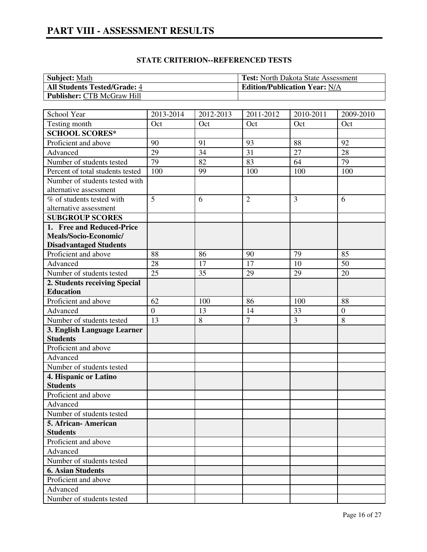# **PART VIII - ASSESSMENT RESULTS**

| <b>Subject:</b> Math                | <b>Test:</b> North Dakota State Assessment |
|-------------------------------------|--------------------------------------------|
| <b>All Students Tested/Grade: 4</b> | <b>Edition/Publication Year: N/A</b>       |
| <b>Publisher: CTB McGraw Hill</b>   |                                            |

| School Year                      | 2013-2014        | 2012-2013 | 2011-2012      | 2010-2011 | 2009-2010    |
|----------------------------------|------------------|-----------|----------------|-----------|--------------|
| Testing month                    | Oct              | Oct       | Oct            | Oct       | Oct          |
| <b>SCHOOL SCORES*</b>            |                  |           |                |           |              |
| Proficient and above             | 90               | 91        | 93             | 88        | 92           |
| Advanced                         | 29               | 34        | 31             | 27        | 28           |
| Number of students tested        | 79               | 82        | 83             | 64        | 79           |
| Percent of total students tested | 100              | 99        | 100            | 100       | 100          |
| Number of students tested with   |                  |           |                |           |              |
| alternative assessment           |                  |           |                |           |              |
| % of students tested with        | 5                | 6         | $\overline{2}$ | 3         | 6            |
| alternative assessment           |                  |           |                |           |              |
| <b>SUBGROUP SCORES</b>           |                  |           |                |           |              |
| 1. Free and Reduced-Price        |                  |           |                |           |              |
| Meals/Socio-Economic/            |                  |           |                |           |              |
| <b>Disadvantaged Students</b>    |                  |           |                |           |              |
| Proficient and above             | 88               | 86        | 90             | 79        | 85           |
| Advanced                         | 28               | 17        | 17             | 10        | 50           |
| Number of students tested        | 25               | 35        | 29             | 29        | 20           |
| 2. Students receiving Special    |                  |           |                |           |              |
| <b>Education</b>                 |                  |           |                |           |              |
| Proficient and above             | 62               | 100       | 86             | 100       | 88           |
| Advanced                         | $\boldsymbol{0}$ | 13        | 14             | 33        | $\mathbf{0}$ |
| Number of students tested        | 13               | 8         | $\overline{7}$ | 3         | 8            |
| 3. English Language Learner      |                  |           |                |           |              |
| <b>Students</b>                  |                  |           |                |           |              |
| Proficient and above             |                  |           |                |           |              |
| Advanced                         |                  |           |                |           |              |
| Number of students tested        |                  |           |                |           |              |
| 4. Hispanic or Latino            |                  |           |                |           |              |
| <b>Students</b>                  |                  |           |                |           |              |
| Proficient and above             |                  |           |                |           |              |
| Advanced                         |                  |           |                |           |              |
| Number of students tested        |                  |           |                |           |              |
| 5. African - American            |                  |           |                |           |              |
| <b>Students</b>                  |                  |           |                |           |              |
| Proficient and above             |                  |           |                |           |              |
| Advanced                         |                  |           |                |           |              |
| Number of students tested        |                  |           |                |           |              |
| <b>6. Asian Students</b>         |                  |           |                |           |              |
| Proficient and above             |                  |           |                |           |              |
| Advanced                         |                  |           |                |           |              |
| Number of students tested        |                  |           |                |           |              |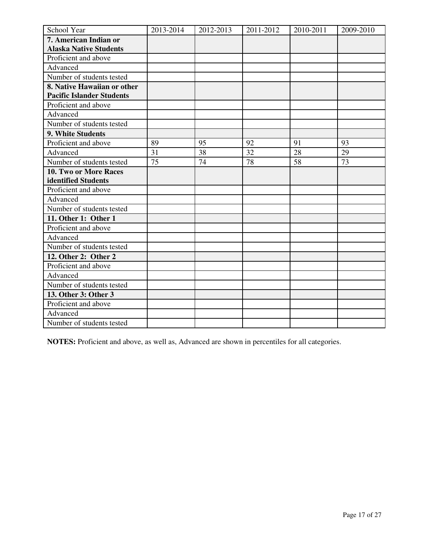| School Year                      | 2013-2014 | 2012-2013 | 2011-2012 | 2010-2011 | 2009-2010 |
|----------------------------------|-----------|-----------|-----------|-----------|-----------|
| 7. American Indian or            |           |           |           |           |           |
| <b>Alaska Native Students</b>    |           |           |           |           |           |
| Proficient and above             |           |           |           |           |           |
| Advanced                         |           |           |           |           |           |
| Number of students tested        |           |           |           |           |           |
| 8. Native Hawaiian or other      |           |           |           |           |           |
| <b>Pacific Islander Students</b> |           |           |           |           |           |
| Proficient and above             |           |           |           |           |           |
| Advanced                         |           |           |           |           |           |
| Number of students tested        |           |           |           |           |           |
| 9. White Students                |           |           |           |           |           |
| Proficient and above             | 89        | 95        | 92        | 91        | 93        |
| Advanced                         | 31        | 38        | 32        | 28        | 29        |
| Number of students tested        | 75        | 74        | 78        | 58        | 73        |
| 10. Two or More Races            |           |           |           |           |           |
| identified Students              |           |           |           |           |           |
| Proficient and above             |           |           |           |           |           |
| Advanced                         |           |           |           |           |           |
| Number of students tested        |           |           |           |           |           |
| 11. Other 1: Other 1             |           |           |           |           |           |
| Proficient and above             |           |           |           |           |           |
| Advanced                         |           |           |           |           |           |
| Number of students tested        |           |           |           |           |           |
| 12. Other 2: Other 2             |           |           |           |           |           |
| Proficient and above             |           |           |           |           |           |
| Advanced                         |           |           |           |           |           |
| Number of students tested        |           |           |           |           |           |
| 13. Other 3: Other 3             |           |           |           |           |           |
| Proficient and above             |           |           |           |           |           |
| Advanced                         |           |           |           |           |           |
| Number of students tested        |           |           |           |           |           |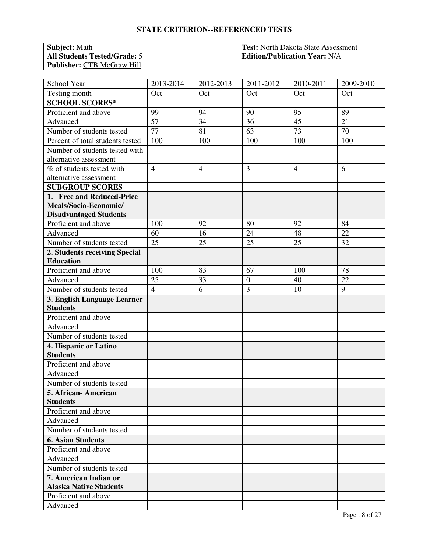| <b>Subject:</b> Math                | <b>Test:</b> North Dakota State Assessment |
|-------------------------------------|--------------------------------------------|
| <b>All Students Tested/Grade: 5</b> | <b>Edition/Publication Year: N/A</b>       |
| <b>Publisher: CTB McGraw Hill</b>   |                                            |

| School Year                      | 2013-2014       | 2012-2013      | 2011-2012        | 2010-2011       | 2009-2010       |
|----------------------------------|-----------------|----------------|------------------|-----------------|-----------------|
| Testing month                    | Oct             | Oct            | Oct              | Oct             | Oct             |
| <b>SCHOOL SCORES*</b>            |                 |                |                  |                 |                 |
| Proficient and above             | 99              | 94             | 90               | 95              | 89              |
| Advanced                         | 57              | 34             | 36               | 45              | 21              |
| Number of students tested        | 77              | 81             | 63               | 73              | 70              |
| Percent of total students tested | 100             | 100            | 100              | 100             | 100             |
| Number of students tested with   |                 |                |                  |                 |                 |
| alternative assessment           |                 |                |                  |                 |                 |
| % of students tested with        | $\overline{4}$  | $\overline{4}$ | 3                | $\overline{4}$  | 6               |
| alternative assessment           |                 |                |                  |                 |                 |
| <b>SUBGROUP SCORES</b>           |                 |                |                  |                 |                 |
| 1. Free and Reduced-Price        |                 |                |                  |                 |                 |
| Meals/Socio-Economic/            |                 |                |                  |                 |                 |
| <b>Disadvantaged Students</b>    |                 |                |                  |                 |                 |
| Proficient and above             | 100             | 92             | 80               | 92              | 84              |
| Advanced                         | 60              | 16             | 24               | 48              | 22              |
| Number of students tested        | $\overline{25}$ | 25             | 25               | $\overline{25}$ | $\overline{32}$ |
| 2. Students receiving Special    |                 |                |                  |                 |                 |
| <b>Education</b>                 |                 |                |                  |                 |                 |
| Proficient and above             | 100             | 83             | 67               | 100             | 78              |
| Advanced                         | 25              | 33             | $\boldsymbol{0}$ | 40              | 22              |
| Number of students tested        | $\overline{4}$  | 6              | 3                | 10              | 9               |
| 3. English Language Learner      |                 |                |                  |                 |                 |
| <b>Students</b>                  |                 |                |                  |                 |                 |
| Proficient and above             |                 |                |                  |                 |                 |
| Advanced                         |                 |                |                  |                 |                 |
| Number of students tested        |                 |                |                  |                 |                 |
| 4. Hispanic or Latino            |                 |                |                  |                 |                 |
| <b>Students</b>                  |                 |                |                  |                 |                 |
| Proficient and above             |                 |                |                  |                 |                 |
| Advanced                         |                 |                |                  |                 |                 |
| Number of students tested        |                 |                |                  |                 |                 |
| 5. African- American             |                 |                |                  |                 |                 |
| <b>Students</b>                  |                 |                |                  |                 |                 |
| Proficient and above             |                 |                |                  |                 |                 |
| Advanced                         |                 |                |                  |                 |                 |
| Number of students tested        |                 |                |                  |                 |                 |
| <b>6. Asian Students</b>         |                 |                |                  |                 |                 |
| Proficient and above             |                 |                |                  |                 |                 |
| Advanced                         |                 |                |                  |                 |                 |
| Number of students tested        |                 |                |                  |                 |                 |
| 7. American Indian or            |                 |                |                  |                 |                 |
| <b>Alaska Native Students</b>    |                 |                |                  |                 |                 |
| Proficient and above             |                 |                |                  |                 |                 |
| Advanced                         |                 |                |                  |                 |                 |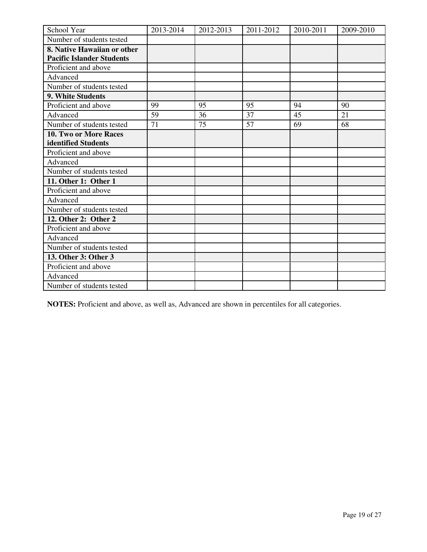| School Year                      | 2013-2014 | 2012-2013 | 2011-2012 | 2010-2011 | 2009-2010 |
|----------------------------------|-----------|-----------|-----------|-----------|-----------|
| Number of students tested        |           |           |           |           |           |
| 8. Native Hawaiian or other      |           |           |           |           |           |
| <b>Pacific Islander Students</b> |           |           |           |           |           |
| Proficient and above             |           |           |           |           |           |
| Advanced                         |           |           |           |           |           |
| Number of students tested        |           |           |           |           |           |
| 9. White Students                |           |           |           |           |           |
| Proficient and above             | 99        | 95        | 95        | 94        | 90        |
| Advanced                         | 59        | 36        | 37        | 45        | 21        |
| Number of students tested        | 71        | 75        | 57        | 69        | 68        |
| 10. Two or More Races            |           |           |           |           |           |
| identified Students              |           |           |           |           |           |
| Proficient and above             |           |           |           |           |           |
| Advanced                         |           |           |           |           |           |
| Number of students tested        |           |           |           |           |           |
| 11. Other 1: Other 1             |           |           |           |           |           |
| Proficient and above             |           |           |           |           |           |
| Advanced                         |           |           |           |           |           |
| Number of students tested        |           |           |           |           |           |
| 12. Other 2: Other 2             |           |           |           |           |           |
| Proficient and above             |           |           |           |           |           |
| Advanced                         |           |           |           |           |           |
| Number of students tested        |           |           |           |           |           |
| 13. Other 3: Other 3             |           |           |           |           |           |
| Proficient and above             |           |           |           |           |           |
| Advanced                         |           |           |           |           |           |
| Number of students tested        |           |           |           |           |           |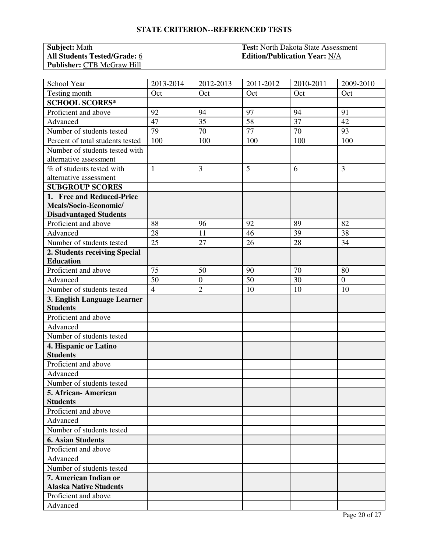| <b>Subject:</b> Math                | <b>Test:</b> North Dakota State Assessment |
|-------------------------------------|--------------------------------------------|
| <b>All Students Tested/Grade: 6</b> | <b>Edition/Publication Year: N/A</b>       |
| <b>Publisher: CTB McGraw Hill</b>   |                                            |

| School Year                      | 2013-2014       | 2012-2013        | 2011-2012 | 2010-2011       | 2009-2010        |
|----------------------------------|-----------------|------------------|-----------|-----------------|------------------|
| Testing month                    | Oct             | Oct              | Oct       | Oct             | Oct              |
| <b>SCHOOL SCORES*</b>            |                 |                  |           |                 |                  |
| Proficient and above             | 92              | 94               | 97        | 94              | 91               |
| Advanced                         | 47              | 35               | 58        | 37              | 42               |
| Number of students tested        | 79              | 70               | 77        | 70              | 93               |
| Percent of total students tested | 100             | 100              | 100       | 100             | 100              |
| Number of students tested with   |                 |                  |           |                 |                  |
| alternative assessment           |                 |                  |           |                 |                  |
| % of students tested with        | $\mathbf{1}$    | 3                | 5         | 6               | 3                |
| alternative assessment           |                 |                  |           |                 |                  |
| <b>SUBGROUP SCORES</b>           |                 |                  |           |                 |                  |
| 1. Free and Reduced-Price        |                 |                  |           |                 |                  |
| Meals/Socio-Economic/            |                 |                  |           |                 |                  |
| <b>Disadvantaged Students</b>    |                 |                  |           |                 |                  |
| Proficient and above             | 88              | 96               | 92        | 89              | 82               |
| Advanced                         | 28              | 11               | 46        | 39              | 38               |
| Number of students tested        | $\overline{25}$ | 27               | 26        | $\overline{28}$ | $\overline{34}$  |
| 2. Students receiving Special    |                 |                  |           |                 |                  |
| <b>Education</b>                 |                 |                  |           |                 |                  |
| Proficient and above             | 75              | 50               | 90        | 70              | 80               |
| Advanced                         | 50              | $\boldsymbol{0}$ | 50        | 30              | $\boldsymbol{0}$ |
| Number of students tested        | $\overline{4}$  | $\overline{c}$   | 10        | 10              | 10               |
| 3. English Language Learner      |                 |                  |           |                 |                  |
| <b>Students</b>                  |                 |                  |           |                 |                  |
| Proficient and above             |                 |                  |           |                 |                  |
| Advanced                         |                 |                  |           |                 |                  |
| Number of students tested        |                 |                  |           |                 |                  |
| 4. Hispanic or Latino            |                 |                  |           |                 |                  |
| <b>Students</b>                  |                 |                  |           |                 |                  |
| Proficient and above             |                 |                  |           |                 |                  |
| Advanced                         |                 |                  |           |                 |                  |
| Number of students tested        |                 |                  |           |                 |                  |
| 5. African- American             |                 |                  |           |                 |                  |
| <b>Students</b>                  |                 |                  |           |                 |                  |
| Proficient and above             |                 |                  |           |                 |                  |
| Advanced                         |                 |                  |           |                 |                  |
| Number of students tested        |                 |                  |           |                 |                  |
| <b>6. Asian Students</b>         |                 |                  |           |                 |                  |
| Proficient and above             |                 |                  |           |                 |                  |
| Advanced                         |                 |                  |           |                 |                  |
| Number of students tested        |                 |                  |           |                 |                  |
| 7. American Indian or            |                 |                  |           |                 |                  |
| <b>Alaska Native Students</b>    |                 |                  |           |                 |                  |
| Proficient and above             |                 |                  |           |                 |                  |
| Advanced                         |                 |                  |           |                 |                  |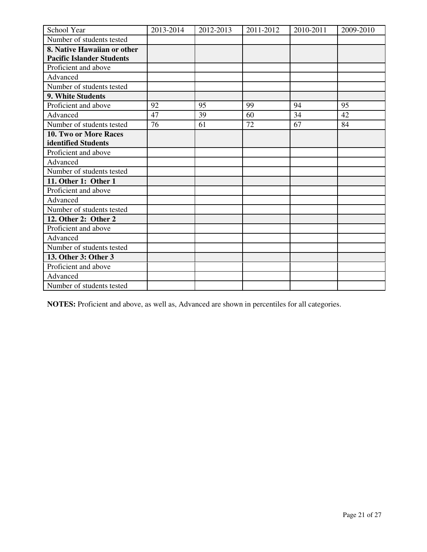| School Year                      | 2013-2014 | 2012-2013 | 2011-2012 | 2010-2011 | 2009-2010 |
|----------------------------------|-----------|-----------|-----------|-----------|-----------|
| Number of students tested        |           |           |           |           |           |
| 8. Native Hawaiian or other      |           |           |           |           |           |
| <b>Pacific Islander Students</b> |           |           |           |           |           |
| Proficient and above             |           |           |           |           |           |
| Advanced                         |           |           |           |           |           |
| Number of students tested        |           |           |           |           |           |
| 9. White Students                |           |           |           |           |           |
| Proficient and above             | 92        | 95        | 99        | 94        | 95        |
| Advanced                         | 47        | 39        | 60        | 34        | 42        |
| Number of students tested        | 76        | 61        | 72        | 67        | 84        |
| 10. Two or More Races            |           |           |           |           |           |
| identified Students              |           |           |           |           |           |
| Proficient and above             |           |           |           |           |           |
| Advanced                         |           |           |           |           |           |
| Number of students tested        |           |           |           |           |           |
| 11. Other 1: Other 1             |           |           |           |           |           |
| Proficient and above             |           |           |           |           |           |
| Advanced                         |           |           |           |           |           |
| Number of students tested        |           |           |           |           |           |
| 12. Other 2: Other 2             |           |           |           |           |           |
| Proficient and above             |           |           |           |           |           |
| Advanced                         |           |           |           |           |           |
| Number of students tested        |           |           |           |           |           |
| 13. Other 3: Other 3             |           |           |           |           |           |
| Proficient and above             |           |           |           |           |           |
| Advanced                         |           |           |           |           |           |
| Number of students tested        |           |           |           |           |           |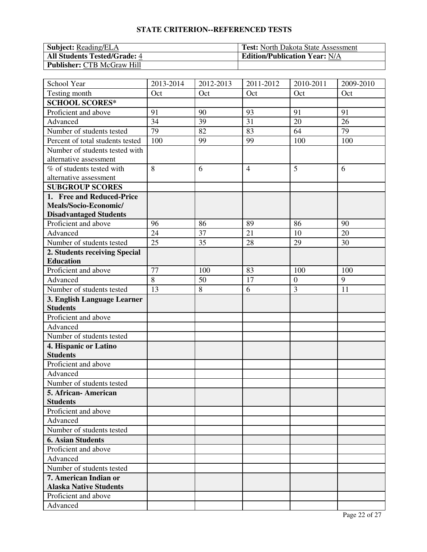| <b>Subject:</b> Reading/ELA         | <b>Test:</b> North Dakota State Assessment |
|-------------------------------------|--------------------------------------------|
| <b>All Students Tested/Grade: 4</b> | <b>Edition/Publication Year: N/A</b>       |
| <b>Publisher: CTB McGraw Hill</b>   |                                            |

| School Year                      | 2013-2014      | 2012-2013 | 2011-2012      | 2010-2011        | 2009-2010      |
|----------------------------------|----------------|-----------|----------------|------------------|----------------|
| Testing month                    | Oct            | Oct       | Oct            | Oct              | Oct            |
| <b>SCHOOL SCORES*</b>            |                |           |                |                  |                |
| Proficient and above             | 91             | 90        | 93             | 91               | 91             |
| Advanced                         | 34             | 39        | 31             | 20               | 26             |
| Number of students tested        | 79             | 82        | 83             | 64               | 79             |
| Percent of total students tested | 100            | 99        | 99             | 100              | 100            |
| Number of students tested with   |                |           |                |                  |                |
| alternative assessment           |                |           |                |                  |                |
| % of students tested with        | 8              | 6         | $\overline{4}$ | 5                | 6              |
| alternative assessment           |                |           |                |                  |                |
| <b>SUBGROUP SCORES</b>           |                |           |                |                  |                |
| 1. Free and Reduced-Price        |                |           |                |                  |                |
| Meals/Socio-Economic/            |                |           |                |                  |                |
| <b>Disadvantaged Students</b>    |                |           |                |                  |                |
| Proficient and above             | 96             | 86        | 89             | 86               | 90             |
| Advanced                         | 24             | 37        | 21             | 10               | 20             |
| Number of students tested        | 25             | 35        | 28             | 29               | 30             |
| 2. Students receiving Special    |                |           |                |                  |                |
| <b>Education</b>                 |                |           |                |                  |                |
| Proficient and above             | 77             | 100       | 83             | 100              | 100            |
| Advanced                         | $\overline{8}$ | 50        | 17             | $\boldsymbol{0}$ | $\overline{9}$ |
| Number of students tested        | 13             | 8         | 6              | 3                | 11             |
| 3. English Language Learner      |                |           |                |                  |                |
| <b>Students</b>                  |                |           |                |                  |                |
| Proficient and above             |                |           |                |                  |                |
| Advanced                         |                |           |                |                  |                |
| Number of students tested        |                |           |                |                  |                |
| 4. Hispanic or Latino            |                |           |                |                  |                |
| <b>Students</b>                  |                |           |                |                  |                |
| Proficient and above             |                |           |                |                  |                |
| Advanced                         |                |           |                |                  |                |
| Number of students tested        |                |           |                |                  |                |
| 5. African- American             |                |           |                |                  |                |
| <b>Students</b>                  |                |           |                |                  |                |
| Proficient and above             |                |           |                |                  |                |
| Advanced                         |                |           |                |                  |                |
| Number of students tested        |                |           |                |                  |                |
| <b>6. Asian Students</b>         |                |           |                |                  |                |
| Proficient and above             |                |           |                |                  |                |
| Advanced                         |                |           |                |                  |                |
| Number of students tested        |                |           |                |                  |                |
| 7. American Indian or            |                |           |                |                  |                |
| <b>Alaska Native Students</b>    |                |           |                |                  |                |
| Proficient and above             |                |           |                |                  |                |
| Advanced                         |                |           |                |                  |                |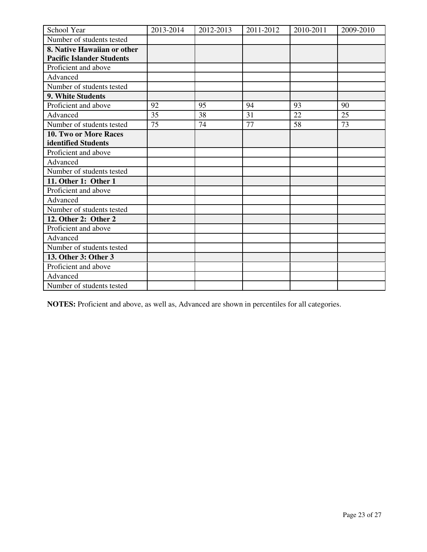| School Year                      | 2013-2014 | 2012-2013 | 2011-2012 | 2010-2011 | 2009-2010 |
|----------------------------------|-----------|-----------|-----------|-----------|-----------|
| Number of students tested        |           |           |           |           |           |
| 8. Native Hawaiian or other      |           |           |           |           |           |
| <b>Pacific Islander Students</b> |           |           |           |           |           |
| Proficient and above             |           |           |           |           |           |
| Advanced                         |           |           |           |           |           |
| Number of students tested        |           |           |           |           |           |
| 9. White Students                |           |           |           |           |           |
| Proficient and above             | 92        | 95        | 94        | 93        | 90        |
| Advanced                         | 35        | 38        | 31        | 22        | 25        |
| Number of students tested        | 75        | 74        | 77        | 58        | 73        |
| <b>10. Two or More Races</b>     |           |           |           |           |           |
| identified Students              |           |           |           |           |           |
| Proficient and above             |           |           |           |           |           |
| Advanced                         |           |           |           |           |           |
| Number of students tested        |           |           |           |           |           |
| 11. Other 1: Other 1             |           |           |           |           |           |
| Proficient and above             |           |           |           |           |           |
| Advanced                         |           |           |           |           |           |
| Number of students tested        |           |           |           |           |           |
| 12. Other 2: Other 2             |           |           |           |           |           |
| Proficient and above             |           |           |           |           |           |
| Advanced                         |           |           |           |           |           |
| Number of students tested        |           |           |           |           |           |
| 13. Other 3: Other 3             |           |           |           |           |           |
| Proficient and above             |           |           |           |           |           |
| Advanced                         |           |           |           |           |           |
| Number of students tested        |           |           |           |           |           |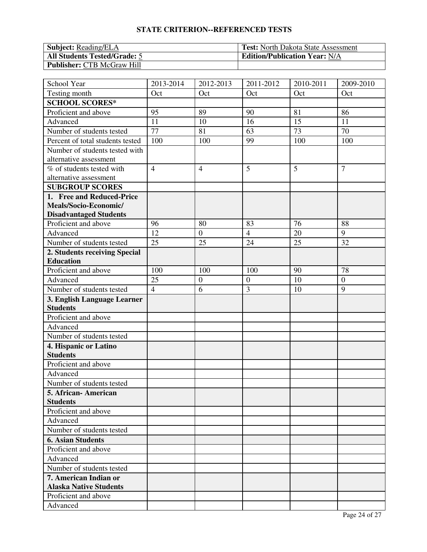| <b>Subject:</b> Reading/ELA         | <b>Test:</b> North Dakota State Assessment |
|-------------------------------------|--------------------------------------------|
| <b>All Students Tested/Grade: 5</b> | <b>Edition/Publication Year: N/A</b>       |
| <b>Publisher: CTB McGraw Hill</b>   |                                            |

| School Year                      | 2013-2014       | 2012-2013        | 2011-2012        | 2010-2011       | 2009-2010        |
|----------------------------------|-----------------|------------------|------------------|-----------------|------------------|
| Testing month                    | Oct             | Oct              | Oct              | Oct             | Oct              |
| <b>SCHOOL SCORES*</b>            |                 |                  |                  |                 |                  |
| Proficient and above             | 95              | 89               | 90               | 81              | 86               |
| Advanced                         | 11              | 10               | 16               | 15              | 11               |
| Number of students tested        | 77              | 81               | 63               | 73              | 70               |
| Percent of total students tested | 100             | 100              | 99               | 100             | 100              |
| Number of students tested with   |                 |                  |                  |                 |                  |
| alternative assessment           |                 |                  |                  |                 |                  |
| % of students tested with        | $\overline{4}$  | $\overline{4}$   | 5                | 5               | $\overline{7}$   |
| alternative assessment           |                 |                  |                  |                 |                  |
| <b>SUBGROUP SCORES</b>           |                 |                  |                  |                 |                  |
| 1. Free and Reduced-Price        |                 |                  |                  |                 |                  |
| Meals/Socio-Economic/            |                 |                  |                  |                 |                  |
| <b>Disadvantaged Students</b>    |                 |                  |                  |                 |                  |
| Proficient and above             | 96              | 80               | 83               | 76              | 88               |
| Advanced                         | 12              | $\boldsymbol{0}$ | $\overline{4}$   | 20              | 9                |
| Number of students tested        | $\overline{25}$ | 25               | $\overline{24}$  | $\overline{25}$ | $\overline{32}$  |
| 2. Students receiving Special    |                 |                  |                  |                 |                  |
| <b>Education</b>                 |                 |                  |                  |                 |                  |
| Proficient and above             | 100             | 100              | 100              | 90              | 78               |
| Advanced                         | 25              | $\boldsymbol{0}$ | $\boldsymbol{0}$ | 10              | $\boldsymbol{0}$ |
| Number of students tested        | $\overline{4}$  | 6                | 3                | 10              | 9                |
| 3. English Language Learner      |                 |                  |                  |                 |                  |
| <b>Students</b>                  |                 |                  |                  |                 |                  |
| Proficient and above             |                 |                  |                  |                 |                  |
| Advanced                         |                 |                  |                  |                 |                  |
| Number of students tested        |                 |                  |                  |                 |                  |
| 4. Hispanic or Latino            |                 |                  |                  |                 |                  |
| <b>Students</b>                  |                 |                  |                  |                 |                  |
| Proficient and above             |                 |                  |                  |                 |                  |
| Advanced                         |                 |                  |                  |                 |                  |
| Number of students tested        |                 |                  |                  |                 |                  |
| 5. African- American             |                 |                  |                  |                 |                  |
| <b>Students</b>                  |                 |                  |                  |                 |                  |
| Proficient and above             |                 |                  |                  |                 |                  |
| Advanced                         |                 |                  |                  |                 |                  |
| Number of students tested        |                 |                  |                  |                 |                  |
| <b>6. Asian Students</b>         |                 |                  |                  |                 |                  |
| Proficient and above             |                 |                  |                  |                 |                  |
| Advanced                         |                 |                  |                  |                 |                  |
| Number of students tested        |                 |                  |                  |                 |                  |
| 7. American Indian or            |                 |                  |                  |                 |                  |
| <b>Alaska Native Students</b>    |                 |                  |                  |                 |                  |
| Proficient and above             |                 |                  |                  |                 |                  |
| Advanced                         |                 |                  |                  |                 |                  |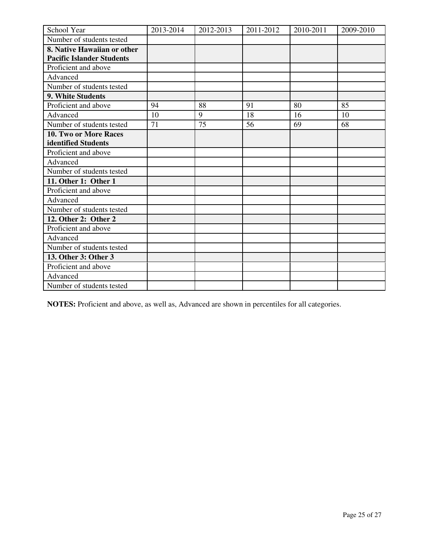| School Year                      | 2013-2014 | 2012-2013 | 2011-2012 | 2010-2011 | 2009-2010 |
|----------------------------------|-----------|-----------|-----------|-----------|-----------|
| Number of students tested        |           |           |           |           |           |
| 8. Native Hawaiian or other      |           |           |           |           |           |
| <b>Pacific Islander Students</b> |           |           |           |           |           |
| Proficient and above             |           |           |           |           |           |
| Advanced                         |           |           |           |           |           |
| Number of students tested        |           |           |           |           |           |
| 9. White Students                |           |           |           |           |           |
| Proficient and above             | 94        | 88        | 91        | 80        | 85        |
| Advanced                         | 10        | 9         | 18        | 16        | 10        |
| Number of students tested        | 71        | 75        | 56        | 69        | 68        |
| <b>10. Two or More Races</b>     |           |           |           |           |           |
| identified Students              |           |           |           |           |           |
| Proficient and above             |           |           |           |           |           |
| Advanced                         |           |           |           |           |           |
| Number of students tested        |           |           |           |           |           |
| 11. Other 1: Other 1             |           |           |           |           |           |
| Proficient and above             |           |           |           |           |           |
| Advanced                         |           |           |           |           |           |
| Number of students tested        |           |           |           |           |           |
| 12. Other 2: Other 2             |           |           |           |           |           |
| Proficient and above             |           |           |           |           |           |
| Advanced                         |           |           |           |           |           |
| Number of students tested        |           |           |           |           |           |
| 13. Other 3: Other 3             |           |           |           |           |           |
| Proficient and above             |           |           |           |           |           |
| Advanced                         |           |           |           |           |           |
| Number of students tested        |           |           |           |           |           |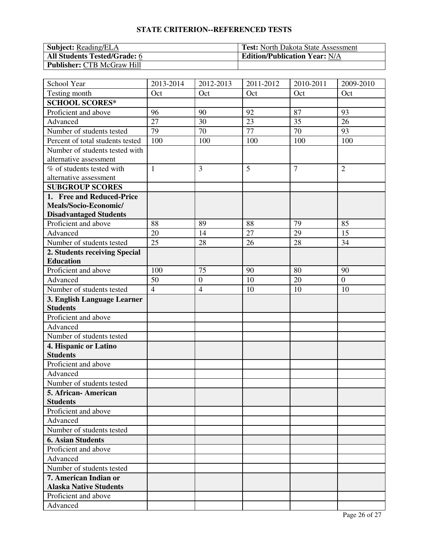| <b>Subject:</b> Reading/ELA         | <b>Test:</b> North Dakota State Assessment |
|-------------------------------------|--------------------------------------------|
| <b>All Students Tested/Grade: 6</b> | <b>Edition/Publication Year: N/A</b>       |
| <b>Publisher: CTB McGraw Hill</b>   |                                            |

| School Year                      | 2013-2014      | 2012-2013        | 2011-2012       | 2010-2011      | 2009-2010        |
|----------------------------------|----------------|------------------|-----------------|----------------|------------------|
| Testing month                    | Oct            | Oct              | Oct             | Oct            | Oct              |
| <b>SCHOOL SCORES*</b>            |                |                  |                 |                |                  |
| Proficient and above             | 96             | 90               | 92              | 87             | 93               |
| Advanced                         | 27             | 30               | 23              | 35             | 26               |
| Number of students tested        | 79             | 70               | $\overline{77}$ | 70             | 93               |
| Percent of total students tested | 100            | 100              | 100             | 100            | 100              |
| Number of students tested with   |                |                  |                 |                |                  |
| alternative assessment           |                |                  |                 |                |                  |
| % of students tested with        | $\mathbf{1}$   | 3                | 5               | $\overline{7}$ | $\overline{2}$   |
| alternative assessment           |                |                  |                 |                |                  |
| <b>SUBGROUP SCORES</b>           |                |                  |                 |                |                  |
| 1. Free and Reduced-Price        |                |                  |                 |                |                  |
| Meals/Socio-Economic/            |                |                  |                 |                |                  |
| <b>Disadvantaged Students</b>    |                |                  |                 |                |                  |
| Proficient and above             | 88             | 89               | 88              | 79             | 85               |
| Advanced                         | 20             | 14               | 27              | 29             | 15               |
| Number of students tested        | 25             | 28               | 26              | 28             | 34               |
| 2. Students receiving Special    |                |                  |                 |                |                  |
| <b>Education</b>                 |                |                  |                 |                |                  |
| Proficient and above             | 100            | 75               | 90              | 80             | 90               |
| Advanced                         | 50             | $\boldsymbol{0}$ | 10              | 20             | $\boldsymbol{0}$ |
| Number of students tested        | $\overline{4}$ | $\overline{4}$   | 10              | 10             | 10               |
| 3. English Language Learner      |                |                  |                 |                |                  |
| <b>Students</b>                  |                |                  |                 |                |                  |
| Proficient and above             |                |                  |                 |                |                  |
| Advanced                         |                |                  |                 |                |                  |
| Number of students tested        |                |                  |                 |                |                  |
| 4. Hispanic or Latino            |                |                  |                 |                |                  |
| <b>Students</b>                  |                |                  |                 |                |                  |
| Proficient and above             |                |                  |                 |                |                  |
| Advanced                         |                |                  |                 |                |                  |
| Number of students tested        |                |                  |                 |                |                  |
| 5. African-American              |                |                  |                 |                |                  |
| <b>Students</b>                  |                |                  |                 |                |                  |
| Proficient and above             |                |                  |                 |                |                  |
| Advanced                         |                |                  |                 |                |                  |
| Number of students tested        |                |                  |                 |                |                  |
| <b>6. Asian Students</b>         |                |                  |                 |                |                  |
| Proficient and above             |                |                  |                 |                |                  |
| Advanced                         |                |                  |                 |                |                  |
| Number of students tested        |                |                  |                 |                |                  |
| 7. American Indian or            |                |                  |                 |                |                  |
| <b>Alaska Native Students</b>    |                |                  |                 |                |                  |
| Proficient and above             |                |                  |                 |                |                  |
| Advanced                         |                |                  |                 |                |                  |